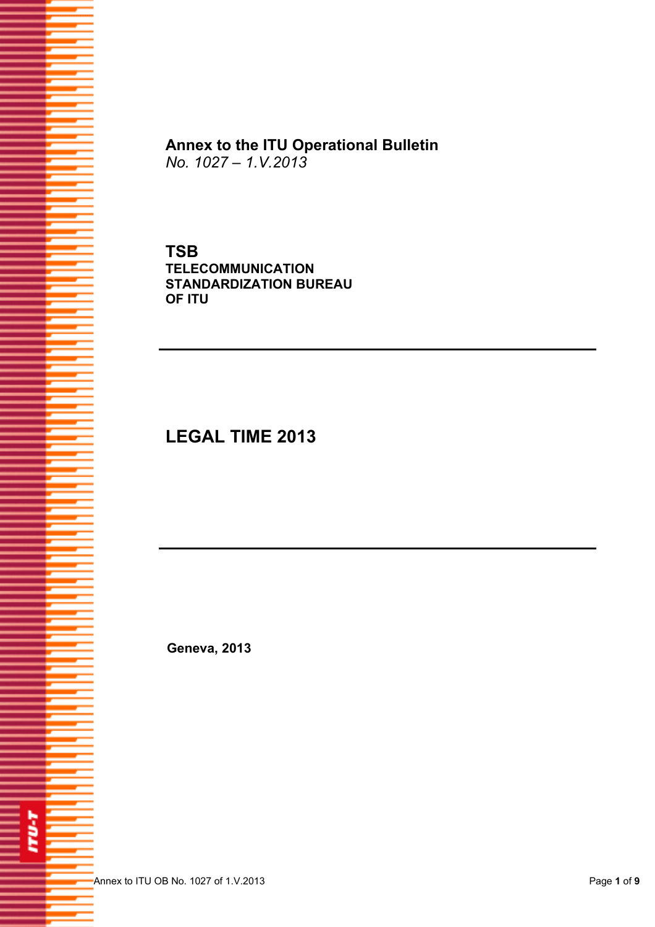

**Annex to the ITU Operational Bulletin**  *No. 1027 – 1.V.2013*

**TSB TELECOMMUNICATION STANDARDIZATION BUREAU OF ITU** 

## **LEGAL TIME 2013**

 **Geneva, 2013**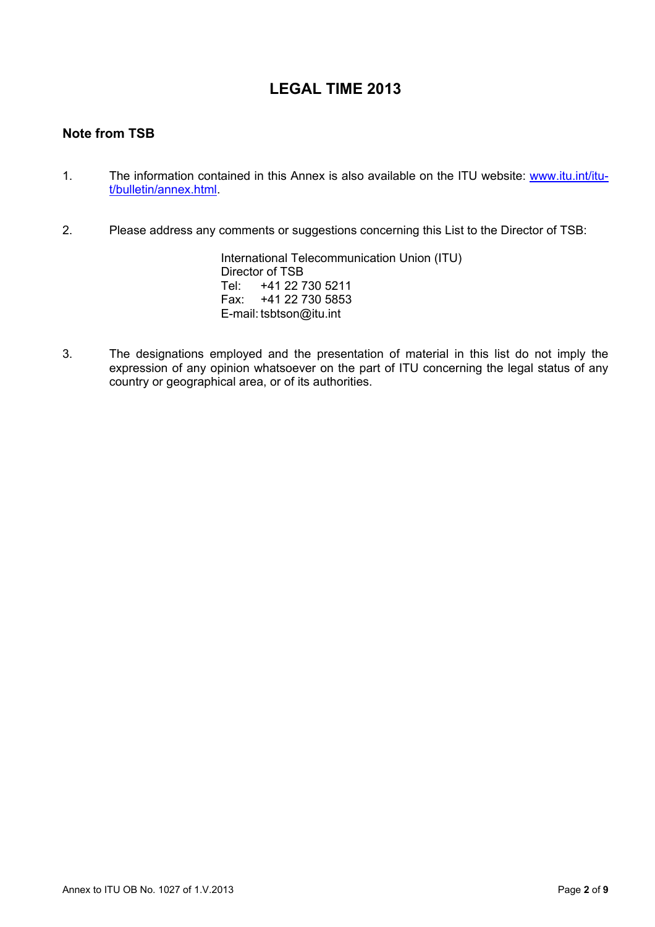## **LEGAL TIME 2013**

## **Note from TSB**

- 1. The information contained in this Annex is also available on the ITU website: [www.itu.int/itu](http://www.itu.int/itu-t/bulletin/annex.html)[t/bulletin/annex.html.](http://www.itu.int/itu-t/bulletin/annex.html)
- 2. Please address any comments or suggestions concerning this List to the Director of TSB:

 International Telecommunication Union (ITU) Director of TSB<br>Tel: +41 22 7 Tel: +41 22 730 5211 Fax: +41 22 730 5853 E-mail: tsbtson@itu.int

3. The designations employed and the presentation of material in this list do not imply the expression of any opinion whatsoever on the part of ITU concerning the legal status of any country or geographical area, or of its authorities.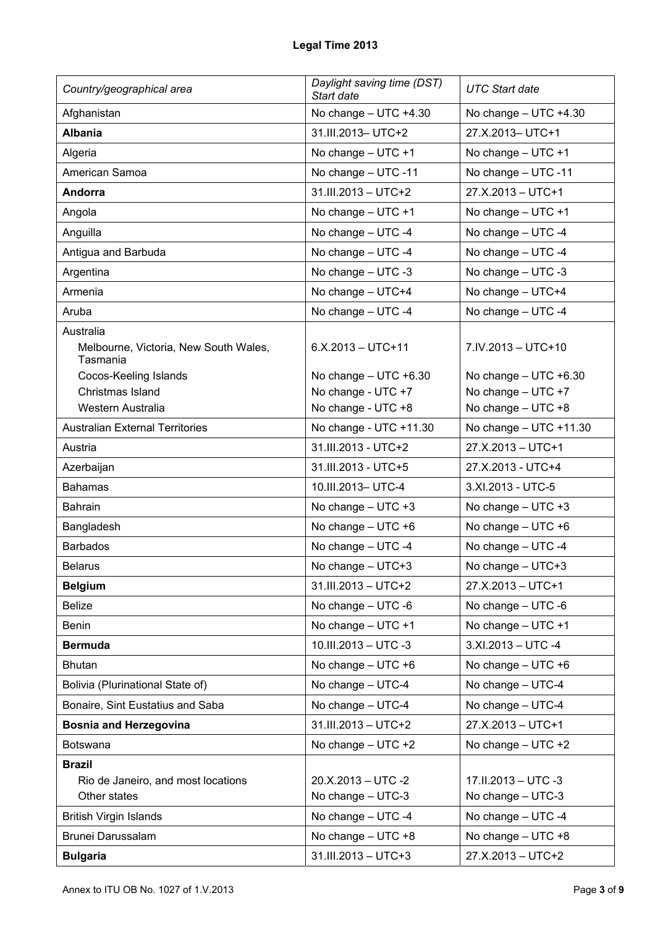| Country/geographical area                         | Daylight saving time (DST)<br>Start date | <b>UTC Start date</b>      |
|---------------------------------------------------|------------------------------------------|----------------------------|
| Afghanistan                                       | No change $-$ UTC $+4.30$                | No change $-$ UTC $+4.30$  |
| <b>Albania</b>                                    | 31.III.2013- UTC+2                       | 27.X.2013-UTC+1            |
| Algeria                                           | No change $-$ UTC $+1$                   | No change $-$ UTC $+1$     |
| American Samoa                                    | No change - UTC -11                      | No change - UTC -11        |
| Andorra                                           | 31.III.2013 - UTC+2                      | 27.X.2013 - UTC+1          |
| Angola                                            | No change $-$ UTC $+1$                   | No change $-$ UTC $+1$     |
| Anguilla                                          | No change - UTC -4                       | No change - UTC -4         |
| Antigua and Barbuda                               | No change - UTC -4                       | No change - UTC -4         |
| Argentina                                         | No change $-$ UTC -3                     | No change - UTC -3         |
| Armenia                                           | No change - UTC+4                        | No change - UTC+4          |
| Aruba                                             | No change - UTC -4                       | No change - UTC -4         |
| Australia                                         |                                          |                            |
| Melbourne, Victoria, New South Wales,<br>Tasmania | $6.X.2013 - UTC + 11$                    | 7.IV.2013 - UTC+10         |
| Cocos-Keeling Islands                             | No change $-$ UTC $+6.30$                | No change $-$ UTC $+6.30$  |
| Christmas Island                                  | No change - UTC +7                       | No change - UTC +7         |
| Western Australia                                 | No change - UTC +8                       | No change - UTC +8         |
| <b>Australian External Territories</b>            | No change - UTC +11.30                   | No change $-$ UTC $+11.30$ |
| Austria                                           | 31.III.2013 - UTC+2                      | 27.X.2013 - UTC+1          |
| Azerbaijan                                        | 31.III.2013 - UTC+5                      | 27.X.2013 - UTC+4          |
| <b>Bahamas</b>                                    | 10.III.2013- UTC-4                       | 3.XI.2013 - UTC-5          |
| <b>Bahrain</b>                                    | No change $-$ UTC $+3$                   | No change $-$ UTC $+3$     |
| Bangladesh                                        | No change $-$ UTC $+6$                   | No change - UTC +6         |
| <b>Barbados</b>                                   | No change - UTC -4                       | No change - UTC -4         |
| <b>Belarus</b>                                    | No change - UTC+3                        | No change - UTC+3          |
| <b>Belgium</b>                                    | 31.III.2013 - UTC+2                      | 27.X.2013 - UTC+1          |
| <b>Belize</b>                                     | No change - UTC -6                       | No change - UTC -6         |
| <b>Benin</b>                                      | No change $-$ UTC $+1$                   | No change $-$ UTC $+1$     |
| <b>Bermuda</b>                                    | 10.III.2013 - UTC -3                     | $3.XI.2013 - UTC -4$       |
| <b>Bhutan</b>                                     | No change $-$ UTC $+6$                   | No change $-$ UTC $+6$     |
| Bolivia (Plurinational State of)                  | No change - UTC-4                        | No change - UTC-4          |
| Bonaire, Sint Eustatius and Saba                  | No change - UTC-4                        | No change - UTC-4          |
| <b>Bosnia and Herzegovina</b>                     | 31.III.2013 - UTC+2                      | 27.X.2013 - UTC+1          |
| Botswana                                          | No change $-$ UTC $+2$                   | No change $-$ UTC $+2$     |
| <b>Brazil</b>                                     |                                          |                            |
| Rio de Janeiro, and most locations                | 20.X.2013 - UTC -2                       | 17.II.2013 - UTC -3        |
| Other states                                      | No change - UTC-3                        | No change - UTC-3          |
| <b>British Virgin Islands</b>                     | No change - UTC -4                       | No change - UTC -4         |
| Brunei Darussalam                                 | No change $-$ UTC $+8$                   | No change $-$ UTC $+8$     |
| <b>Bulgaria</b>                                   | 31.III.2013 - UTC+3                      | 27.X.2013 - UTC+2          |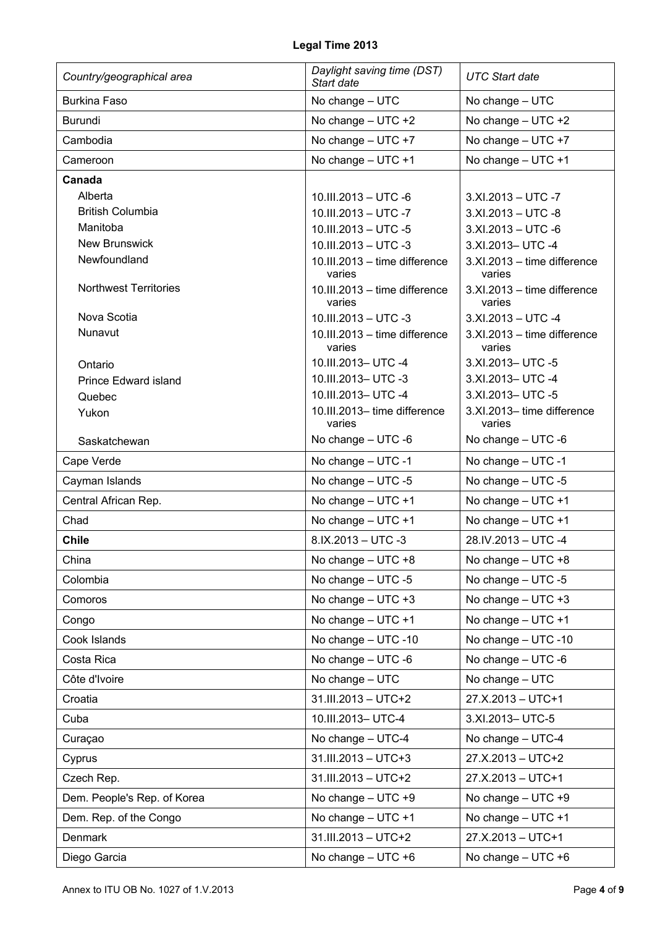| Country/geographical area    | Daylight saving time (DST)<br>Start date | <b>UTC Start date</b>                 |
|------------------------------|------------------------------------------|---------------------------------------|
| <b>Burkina Faso</b>          | No change - UTC                          | No change - UTC                       |
| <b>Burundi</b>               | No change - UTC +2                       | No change $-$ UTC $+2$                |
| Cambodia                     | No change - UTC +7                       | No change - UTC +7                    |
| Cameroon                     | No change $-$ UTC $+1$                   | No change $-$ UTC $+1$                |
| Canada                       |                                          |                                       |
| Alberta                      | 10.III.2013 - UTC -6                     | $3.XI.2013 - UTC -7$                  |
| <b>British Columbia</b>      | 10.III.2013 - UTC -7                     | $3.XI.2013 - UTC -8$                  |
| Manitoba                     | 10.III.2013 - UTC -5                     | $3.XI.2013 - UTC -6$                  |
| <b>New Brunswick</b>         | 10.III.2013 - UTC -3                     | 3.XI.2013- UTC -4                     |
| Newfoundland                 | 10.III.2013 - time difference<br>varies  | 3.XI.2013 - time difference<br>varies |
| <b>Northwest Territories</b> | 10.III.2013 - time difference<br>varies  | 3.XI.2013 - time difference<br>varies |
| Nova Scotia                  | 10.III.2013 - UTC -3                     | $3.XI.2013 - UTC -4$                  |
| Nunavut                      | 10.III.2013 - time difference<br>varies  | 3.XI.2013 - time difference<br>varies |
| Ontario                      | 10.III.2013- UTC -4                      | 3.XI.2013- UTC -5                     |
| <b>Prince Edward island</b>  | 10.III.2013- UTC -3                      | 3.XI.2013- UTC -4                     |
| Quebec                       | 10.III.2013- UTC -4                      | 3.XI.2013- UTC -5                     |
| Yukon                        | 10.III.2013-time difference<br>varies    | 3.XI.2013-time difference<br>varies   |
| Saskatchewan                 | No change - UTC -6                       | No change - UTC -6                    |
| Cape Verde                   | No change - UTC -1                       | No change - UTC -1                    |
| Cayman Islands               | No change - UTC -5                       | No change - UTC -5                    |
| Central African Rep.         | No change $-$ UTC $+1$                   | No change - UTC +1                    |
| Chad                         | No change - UTC +1                       | No change $-$ UTC $+1$                |
| <b>Chile</b>                 | 8.IX.2013 - UTC -3                       | 28.IV.2013 - UTC -4                   |
| China                        | No change - UTC +8                       | No change $-$ UTC $+8$                |
| Colombia                     | No change $-$ UTC -5                     | No change - UTC -5                    |
| Comoros                      | No change $-$ UTC $+3$                   | No change $-$ UTC $+3$                |
| Congo                        | No change $-$ UTC $+1$                   | No change $-$ UTC $+1$                |
| Cook Islands                 | No change - UTC -10                      | No change - UTC -10                   |
| Costa Rica                   | No change - UTC -6                       | No change $-$ UTC -6                  |
| Côte d'Ivoire                | No change - UTC                          | No change - UTC                       |
| Croatia                      | 31.III.2013 - UTC+2                      | 27.X.2013 - UTC+1                     |
| Cuba                         | 10.III.2013- UTC-4                       | 3.XI.2013- UTC-5                      |
| Curaçao                      | No change - UTC-4                        | No change - UTC-4                     |
| Cyprus                       | 31.III.2013 - UTC+3                      | 27.X.2013 - UTC+2                     |
| Czech Rep.                   | 31.III.2013 - UTC+2                      | 27.X.2013 - UTC+1                     |
| Dem. People's Rep. of Korea  | No change $-$ UTC $+9$                   | No change - UTC +9                    |
| Dem. Rep. of the Congo       | No change $-$ UTC $+1$                   | No change $-$ UTC $+1$                |
| Denmark                      | 31.III.2013 - UTC+2                      | 27.X.2013 - UTC+1                     |
| Diego Garcia                 | No change $-$ UTC $+6$                   | No change - UTC +6                    |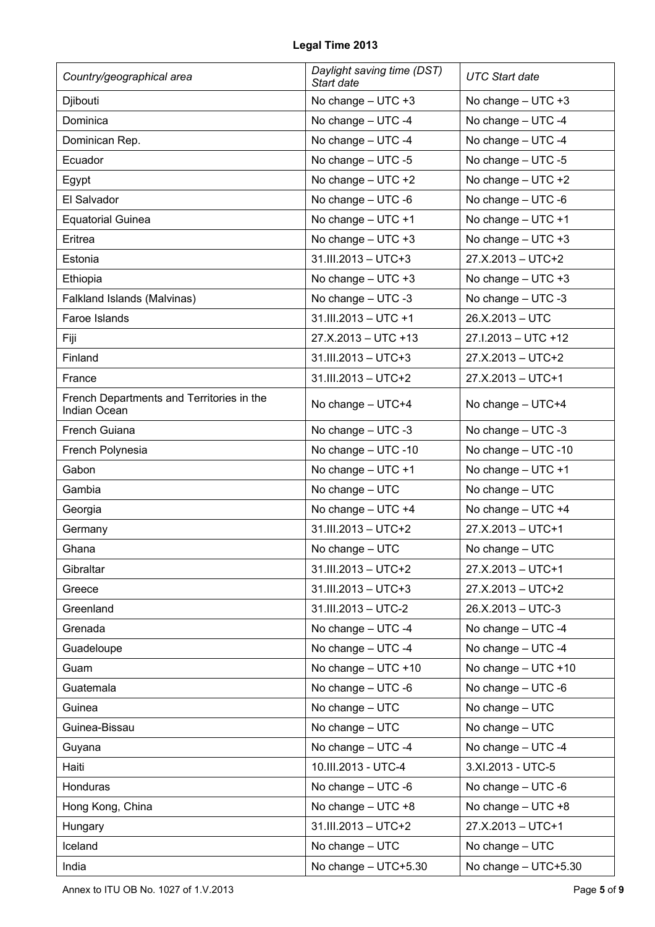| Country/geographical area                                 | Daylight saving time (DST)<br>Start date | <b>UTC Start date</b>   |
|-----------------------------------------------------------|------------------------------------------|-------------------------|
| Djibouti                                                  | No change $-$ UTC $+3$                   | No change - UTC +3      |
| Dominica                                                  | No change - UTC -4                       | No change - UTC -4      |
| Dominican Rep.                                            | No change - UTC -4                       | No change - UTC -4      |
| Ecuador                                                   | No change - UTC -5                       | No change - UTC -5      |
| Egypt                                                     | No change $-$ UTC $+2$                   | No change $-$ UTC $+2$  |
| El Salvador                                               | No change - UTC -6                       | No change - UTC -6      |
| <b>Equatorial Guinea</b>                                  | No change $-$ UTC $+1$                   | No change $-$ UTC $+1$  |
| Eritrea                                                   | No change $-$ UTC $+3$                   | No change $-$ UTC $+3$  |
| Estonia                                                   | $31.III.2013 - UTC + 3$                  | 27.X.2013 - UTC+2       |
| Ethiopia                                                  | No change $-$ UTC $+3$                   | No change $-$ UTC $+3$  |
| Falkland Islands (Malvinas)                               | No change $-$ UTC -3                     | No change $-$ UTC -3    |
| Faroe Islands                                             | 31.III.2013 - UTC +1                     | 26.X.2013 - UTC         |
| Fiji                                                      | 27.X.2013 - UTC +13                      | 27.I.2013 - UTC +12     |
| Finland                                                   | 31.III.2013 - UTC+3                      | 27.X.2013 - UTC+2       |
| France                                                    | 31.III.2013 - UTC+2                      | 27.X.2013 - UTC+1       |
| French Departments and Territories in the<br>Indian Ocean | No change - UTC+4                        | No change - UTC+4       |
| French Guiana                                             | No change - UTC -3                       | No change - UTC -3      |
| French Polynesia                                          | No change - UTC -10                      | No change - UTC -10     |
| Gabon                                                     | No change $-$ UTC $+1$                   | No change $-$ UTC $+1$  |
| Gambia                                                    | No change - UTC                          | No change - UTC         |
| Georgia                                                   | No change - UTC +4                       | No change - UTC +4      |
| Germany                                                   | 31.III.2013 - UTC+2                      | 27.X.2013 - UTC+1       |
| Ghana                                                     | No change - UTC                          | No change - UTC         |
| Gibraltar                                                 | 31.III.2013 - UTC+2                      | 27.X.2013 - UTC+1       |
| Greece                                                    | $31.III.2013 - UTC + 3$                  | 27.X.2013 - UTC+2       |
| Greenland                                                 | 31.III.2013 - UTC-2                      | 26.X.2013 - UTC-3       |
| Grenada                                                   | No change - UTC -4                       | No change - UTC -4      |
| Guadeloupe                                                | No change - UTC -4                       | No change - UTC -4      |
| Guam                                                      | No change $-$ UTC $+10$                  | No change $-$ UTC $+10$ |
| Guatemala                                                 | No change - UTC -6                       | No change - UTC -6      |
| Guinea                                                    | No change - UTC                          | No change - UTC         |
| Guinea-Bissau                                             | No change - UTC                          | No change - UTC         |
| Guyana                                                    | No change - UTC -4                       | No change - UTC -4      |
| Haiti                                                     | 10.III.2013 - UTC-4                      | 3.XI.2013 - UTC-5       |
| Honduras                                                  | No change - UTC -6                       | No change - UTC -6      |
| Hong Kong, China                                          | No change $-$ UTC $+8$                   | No change - UTC +8      |
| Hungary                                                   | 31.III.2013 - UTC+2                      | 27.X.2013 - UTC+1       |
| Iceland                                                   | No change - UTC                          | No change - UTC         |
| India                                                     | No change - UTC+5.30                     | No change - UTC+5.30    |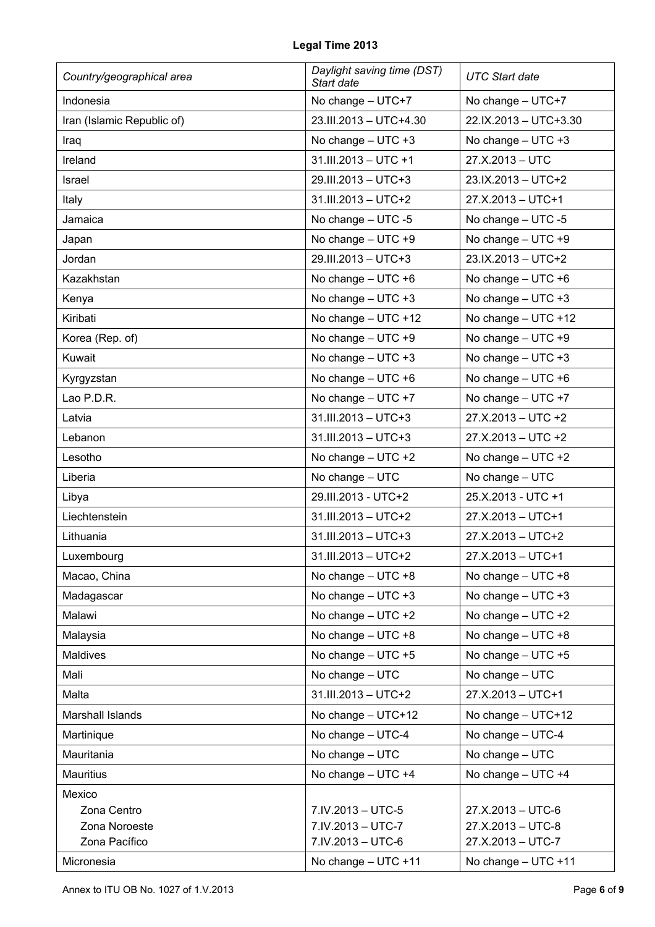| Country/geographical area  | Daylight saving time (DST)<br>Start date | <b>UTC Start date</b>   |
|----------------------------|------------------------------------------|-------------------------|
| Indonesia                  | No change - UTC+7                        | No change - UTC+7       |
| Iran (Islamic Republic of) | 23.III.2013 - UTC+4.30                   | 22.IX.2013 - UTC+3.30   |
| Iraq                       | No change $-$ UTC $+3$                   | No change $-$ UTC $+3$  |
| Ireland                    | 31.III.2013 - UTC +1                     | 27.X.2013 - UTC         |
| Israel                     | 29.III.2013 - UTC+3                      | 23.IX.2013 - UTC+2      |
| Italy                      | 31.III.2013 - UTC+2                      | 27.X.2013 - UTC+1       |
| Jamaica                    | No change $-$ UTC -5                     | No change $-$ UTC -5    |
| Japan                      | No change $-$ UTC $+9$                   | No change - UTC +9      |
| Jordan                     | 29.III.2013 - UTC+3                      | 23.IX.2013 - UTC+2      |
| Kazakhstan                 | No change $-$ UTC $+6$                   | No change $-$ UTC $+6$  |
| Kenya                      | No change $-$ UTC $+3$                   | No change $-$ UTC $+3$  |
| Kiribati                   | No change $-$ UTC $+12$                  | No change $-$ UTC $+12$ |
| Korea (Rep. of)            | No change - UTC +9                       | No change $-$ UTC $+9$  |
| Kuwait                     | No change $-$ UTC $+3$                   | No change $-$ UTC $+3$  |
| Kyrgyzstan                 | No change $-$ UTC $+6$                   | No change $-$ UTC $+6$  |
| Lao P.D.R.                 | No change $-$ UTC $+7$                   | No change $-$ UTC $+7$  |
| Latvia                     | 31.III.2013 - UTC+3                      | 27.X.2013 - UTC +2      |
| Lebanon                    | 31.III.2013 - UTC+3                      | 27.X.2013 - UTC +2      |
| Lesotho                    | No change $-$ UTC $+2$                   | No change $-$ UTC $+2$  |
| Liberia                    | No change - UTC                          | No change - UTC         |
| Libya                      | 29.III.2013 - UTC+2                      | 25.X.2013 - UTC +1      |
| Liechtenstein              | 31.III.2013 - UTC+2                      | 27.X.2013 - UTC+1       |
| Lithuania                  | 31.III.2013 - UTC+3                      | 27.X.2013 - UTC+2       |
| Luxembourg                 | 31.III.2013 - UTC+2                      | 27.X.2013 - UTC+1       |
| Macao, China               | No change $-$ UTC $+8$                   | No change - UTC +8      |
| Madagascar                 | No change $-$ UTC $+3$                   | No change $-$ UTC $+3$  |
| Malawi                     | No change $-$ UTC $+2$                   | No change $-$ UTC $+2$  |
| Malaysia                   | No change $-$ UTC $+8$                   | No change $-$ UTC $+8$  |
| Maldives                   | No change $-$ UTC $+5$                   | No change $-$ UTC $+5$  |
| Mali                       | No change - UTC                          | No change - UTC         |
| Malta                      | 31.III.2013 - UTC+2                      | 27.X.2013 - UTC+1       |
| Marshall Islands           | No change - UTC+12                       | No change - UTC+12      |
| Martinique                 | No change - UTC-4                        | No change - UTC-4       |
| Mauritania                 | No change - UTC                          | No change - UTC         |
| Mauritius                  | No change - UTC +4                       | No change - UTC +4      |
| Mexico                     |                                          |                         |
| Zona Centro                | 7.IV.2013 - UTC-5                        | 27.X.2013 - UTC-6       |
| Zona Noroeste              | 7.IV.2013 - UTC-7                        | 27.X.2013 - UTC-8       |
| Zona Pacífico              | 7.IV.2013 - UTC-6                        | 27.X.2013 - UTC-7       |
| Micronesia                 | No change - UTC +11                      | No change - UTC +11     |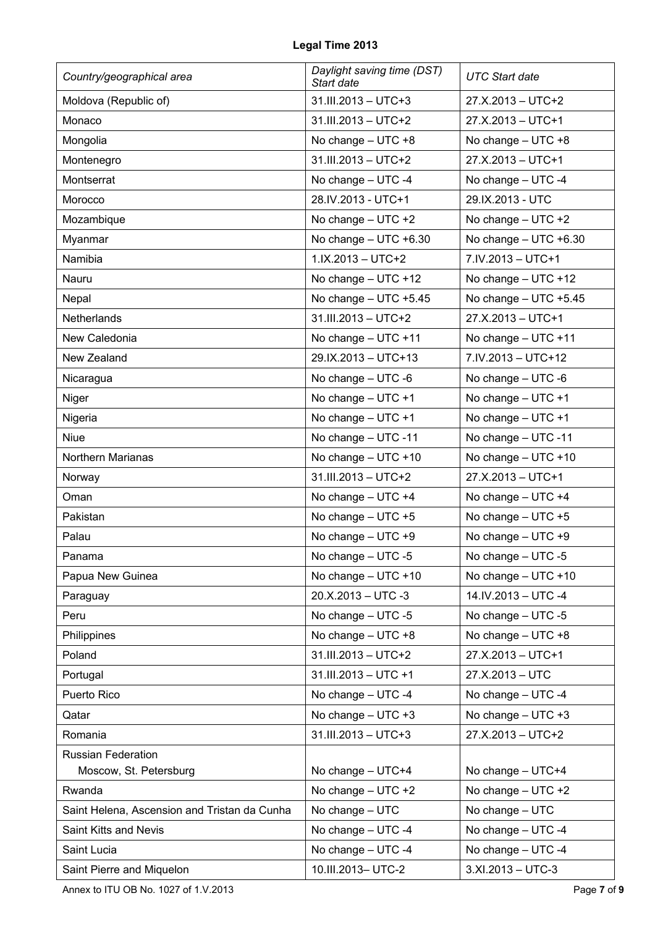| Country/geographical area                    | Daylight saving time (DST)<br>Start date | <b>UTC Start date</b>     |
|----------------------------------------------|------------------------------------------|---------------------------|
| Moldova (Republic of)                        | 31.III.2013 - UTC+3                      | 27.X.2013 - UTC+2         |
| Monaco                                       | 31.III.2013 - UTC+2                      | 27.X.2013 - UTC+1         |
| Mongolia                                     | No change $-$ UTC $+8$                   | No change - UTC +8        |
| Montenegro                                   | 31.III.2013 - UTC+2                      | 27.X.2013 - UTC+1         |
| Montserrat                                   | No change - UTC -4                       | No change - UTC -4        |
| Morocco                                      | 28.IV.2013 - UTC+1                       | 29.IX.2013 - UTC          |
| Mozambique                                   | No change $-$ UTC $+2$                   | No change $-$ UTC $+2$    |
| Myanmar                                      | No change $-$ UTC $+6.30$                | No change $-$ UTC $+6.30$ |
| Namibia                                      | $1.1X.2013 - UTC + 2$                    | 7.IV.2013 - UTC+1         |
| Nauru                                        | No change $-$ UTC $+12$                  | No change $-$ UTC $+12$   |
| Nepal                                        | No change $-$ UTC $+5.45$                | No change - UTC +5.45     |
| Netherlands                                  | 31.III.2013 - UTC+2                      | 27.X.2013 - UTC+1         |
| New Caledonia                                | No change $-$ UTC $+11$                  | No change - UTC +11       |
| New Zealand                                  | 29.IX.2013 - UTC+13                      | 7.IV.2013 - UTC+12        |
| Nicaragua                                    | No change $-$ UTC -6                     | No change $-$ UTC -6      |
| Niger                                        | No change $-$ UTC $+1$                   | No change $-$ UTC $+1$    |
| Nigeria                                      | No change $-$ UTC $+1$                   | No change $-$ UTC $+1$    |
| <b>Niue</b>                                  | No change - UTC -11                      | No change - UTC -11       |
| Northern Marianas                            | No change $-$ UTC $+10$                  | No change $-$ UTC $+10$   |
| Norway                                       | 31.III.2013 - UTC+2                      | 27.X.2013 - UTC+1         |
| Oman                                         | No change - UTC +4                       | No change - UTC +4        |
| Pakistan                                     | No change $-$ UTC $+5$                   | No change $-$ UTC $+5$    |
| Palau                                        | No change $-$ UTC $+9$                   | No change - UTC +9        |
| Panama                                       | No change - UTC -5                       | No change - UTC -5        |
| Papua New Guinea                             | No change $-$ UTC $+10$                  | No change $-$ UTC $+10$   |
| Paraguay                                     | 20.X.2013 - UTC -3                       | 14.IV.2013 - UTC -4       |
| Peru                                         | No change $-$ UTC -5                     | No change $-$ UTC -5      |
| Philippines                                  | No change $-$ UTC $+8$                   | No change - UTC +8        |
| Poland                                       | 31.III.2013 - UTC+2                      | 27.X.2013 - UTC+1         |
| Portugal                                     | 31.III.2013 - UTC +1                     | 27.X.2013 - UTC           |
| Puerto Rico                                  | No change - UTC -4                       | No change - UTC -4        |
| Qatar                                        | No change $-$ UTC $+3$                   | No change - UTC +3        |
| Romania                                      | 31.III.2013 - UTC+3                      | 27.X.2013 - UTC+2         |
| <b>Russian Federation</b>                    |                                          |                           |
| Moscow, St. Petersburg                       | No change - UTC+4                        | No change - UTC+4         |
| Rwanda                                       | No change $-$ UTC $+2$                   | No change $-$ UTC $+2$    |
| Saint Helena, Ascension and Tristan da Cunha | No change - UTC                          | No change - UTC           |
| Saint Kitts and Nevis                        | No change - UTC -4                       | No change - UTC -4        |
| Saint Lucia                                  | No change $-$ UTC -4                     | No change - UTC -4        |
| Saint Pierre and Miquelon                    | 10.III.2013- UTC-2                       | 3.XI.2013 - UTC-3         |

Annex to ITU OB No. 1027 of 1.V.2013 Page **7** of **9**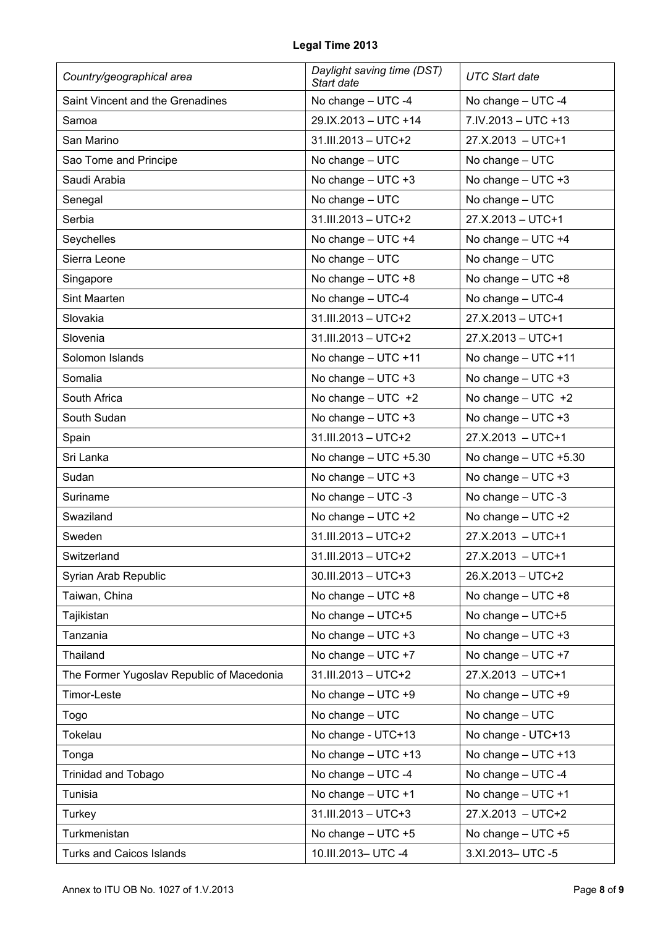| Country/geographical area                 | Daylight saving time (DST)<br>Start date | <b>UTC Start date</b>     |
|-------------------------------------------|------------------------------------------|---------------------------|
| Saint Vincent and the Grenadines          | No change - UTC -4                       | No change - UTC -4        |
| Samoa                                     | 29.IX.2013 - UTC +14                     | 7.IV.2013 - UTC +13       |
| San Marino                                | 31.III.2013 - UTC+2                      | 27.X.2013 - UTC+1         |
| Sao Tome and Principe                     | No change - UTC                          | No change - UTC           |
| Saudi Arabia                              | No change $-$ UTC $+3$                   | No change $-$ UTC $+3$    |
| Senegal                                   | No change - UTC                          | No change - UTC           |
| Serbia                                    | 31.III.2013 - UTC+2                      | 27.X.2013 - UTC+1         |
| Seychelles                                | No change - UTC +4                       | No change - UTC +4        |
| Sierra Leone                              | No change - UTC                          | No change - UTC           |
| Singapore                                 | No change - UTC +8                       | No change $-$ UTC $+8$    |
| <b>Sint Maarten</b>                       | No change - UTC-4                        | No change - UTC-4         |
| Slovakia                                  | 31.III.2013 - UTC+2                      | 27.X.2013 - UTC+1         |
| Slovenia                                  | 31.III.2013 - UTC+2                      | 27.X.2013 - UTC+1         |
| Solomon Islands                           | No change - UTC +11                      | No change $-$ UTC $+11$   |
| Somalia                                   | No change $-$ UTC $+3$                   | No change $-$ UTC $+3$    |
| South Africa                              | No change $-$ UTC $+2$                   | No change $-$ UTC $+2$    |
| South Sudan                               | No change $-$ UTC $+3$                   | No change $-$ UTC $+3$    |
| Spain                                     | 31.III.2013 - UTC+2                      | 27.X.2013 - UTC+1         |
| Sri Lanka                                 | No change $-$ UTC $+5.30$                | No change $-$ UTC $+5.30$ |
| Sudan                                     | No change $-$ UTC $+3$                   | No change $-$ UTC $+3$    |
| Suriname                                  | No change - UTC -3                       | No change - UTC -3        |
| Swaziland                                 | No change $-$ UTC $+2$                   | No change $-$ UTC $+2$    |
| Sweden                                    | 31.III.2013 - UTC+2                      | 27.X.2013 - UTC+1         |
| Switzerland                               | 31.III.2013 - UTC+2                      | 27.X.2013 - UTC+1         |
| Syrian Arab Republic                      | 30.III.2013 - UTC+3                      | 26.X.2013 - UTC+2         |
| Taiwan, China                             | No change $-$ UTC $+8$                   | No change $-$ UTC $+8$    |
| Tajikistan                                | No change $-$ UTC+5                      | No change $-$ UTC+5       |
| Tanzania                                  | No change $-$ UTC $+3$                   | No change $-$ UTC $+3$    |
| Thailand                                  | No change $-$ UTC $+7$                   | No change $-$ UTC $+7$    |
| The Former Yugoslav Republic of Macedonia | 31.III.2013 - UTC+2                      | 27.X.2013 - UTC+1         |
| Timor-Leste                               | No change $-$ UTC $+9$                   | No change $-$ UTC $+9$    |
| Togo                                      | No change - UTC                          | No change - UTC           |
| Tokelau                                   | No change - UTC+13                       | No change - UTC+13        |
| Tonga                                     | No change $-$ UTC $+13$                  | No change $-$ UTC $+13$   |
| <b>Trinidad and Tobago</b>                | No change - UTC -4                       | No change - UTC -4        |
| Tunisia                                   | No change $-$ UTC $+1$                   | No change $-$ UTC $+1$    |
| Turkey                                    | 31.III.2013 - UTC+3                      | 27.X.2013 - UTC+2         |
| Turkmenistan                              | No change $-$ UTC $+5$                   | No change - UTC +5        |
| Turks and Caicos Islands                  | 10.III.2013- UTC -4                      | 3.XI.2013- UTC -5         |